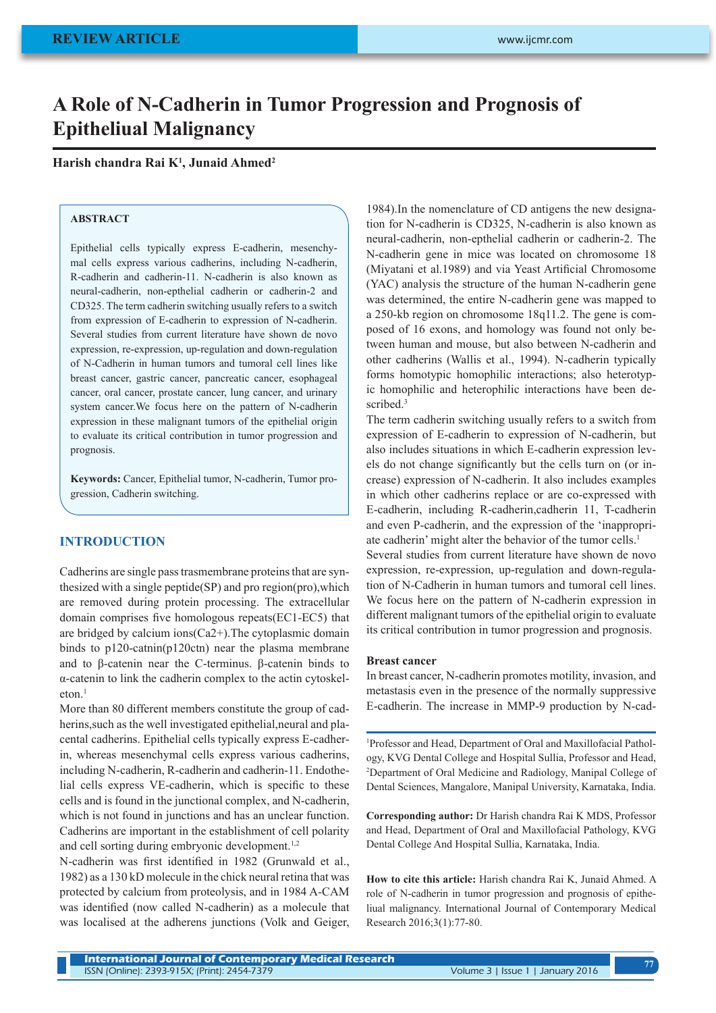# **A Role of N-Cadherin in Tumor Progression and Prognosis of Epitheliual Malignancy**

## **Harish chandra Rai K1 , Junaid Ahmed2**

## **ABSTRACT**

Epithelial cells typically express E-cadherin, mesenchymal cells express various cadherins, including N-cadherin, R-cadherin and cadherin-11. N-cadherin is also known as neural-cadherin, non-epthelial cadherin or cadherin-2 and CD325. The term cadherin switching usually refers to a switch from expression of E-cadherin to expression of N-cadherin. Several studies from current literature have shown de novo expression, re-expression, up-regulation and down-regulation of N-Cadherin in human tumors and tumoral cell lines like breast cancer, gastric cancer, pancreatic cancer, esophageal cancer, oral cancer, prostate cancer, lung cancer, and urinary system cancer.We focus here on the pattern of N-cadherin expression in these malignant tumors of the epithelial origin to evaluate its critical contribution in tumor progression and prognosis.

**Keywords:** Cancer, Epithelial tumor, N-cadherin, Tumor progression, Cadherin switching.

## **INTRODUCTION**

Cadherins are single pass trasmembrane proteins that are synthesized with a single peptide(SP) and pro region(pro),which are removed during protein processing. The extracellular domain comprises five homologous repeats(EC1-EC5) that are bridged by calcium ions(Ca2+).The cytoplasmic domain binds to p120-catnin(p120ctn) near the plasma membrane and to β-catenin near the C-terminus. β-catenin binds to α-catenin to link the cadherin complex to the actin cytoskeleton.<sup>1</sup>

More than 80 different members constitute the group of cadherins, such as the well investigated epithelial, neural and placental cadherins. Epithelial cells typically express E-cadherin, whereas mesenchymal cells express various cadherins, including N-cadherin, R-cadherin and cadherin-11. Endothelial cells express VE-cadherin, which is specific to these cells and is found in the junctional complex, and N-cadherin, which is not found in junctions and has an unclear function. Cadherins are important in the establishment of cell polarity and cell sorting during embryonic development.<sup>1,2</sup>

N-cadherin was first identified in 1982 (Grunwald et al., 1982) as a 130 kD molecule in the chick neural retina that was protected by calcium from proteolysis, and in 1984 A-CAM was identified (now called N-cadherin) as a molecule that was localised at the adherens junctions (Volk and Geiger,

1984).In the nomenclature of CD antigens the new designation for N-cadherin is CD325, N-cadherin is also known as neural-cadherin, non-epthelial cadherin or cadherin-2. The N-cadherin gene in mice was located on chromosome 18 (Miyatani et al.1989) and via Yeast Artificial Chromosome (YAC) analysis the structure of the human N-cadherin gene was determined, the entire N-cadherin gene was mapped to a 250-kb region on chromosome 18q11.2. The gene is composed of 16 exons, and homology was found not only between human and mouse, but also between N-cadherin and other cadherins (Wallis et al., 1994). N-cadherin typically forms homotypic homophilic interactions; also heterotypic homophilic and heterophilic interactions have been described.<sup>3</sup>

The term cadherin switching usually refers to a switch from expression of E-cadherin to expression of N-cadherin, but also includes situations in which E-cadherin expression levels do not change significantly but the cells turn on (or increase) expression of N-cadherin. It also includes examples in which other cadherins replace or are co-expressed with E-cadherin, including R-cadherin,cadherin 11, T-cadherin and even P-cadherin, and the expression of the 'inappropriate cadherin' might alter the behavior of the tumor cells.1 Several studies from current literature have shown de novo

expression, re-expression, up-regulation and down-regulation of N-Cadherin in human tumors and tumoral cell lines. We focus here on the pattern of N-cadherin expression in different malignant tumors of the epithelial origin to evaluate its critical contribution in tumor progression and prognosis.

#### **Breast cancer**

In breast cancer, N-cadherin promotes motility, invasion, and metastasis even in the presence of the normally suppressive E-cadherin. The increase in MMP-9 production by N-cad-

1 Professor and Head, Department of Oral and Maxillofacial Pathology, KVG Dental College and Hospital Sullia, Professor and Head, 2 Department of Oral Medicine and Radiology, Manipal College of Dental Sciences, Mangalore, Manipal University, Karnataka, India.

**Corresponding author:** Dr Harish chandra Rai K MDS, Professor and Head, Department of Oral and Maxillofacial Pathology, KVG Dental College And Hospital Sullia, Karnataka, India.

**How to cite this article:** Harish chandra Rai K, Junaid Ahmed. A role of N-cadherin in tumor progression and prognosis of epitheliual malignancy. International Journal of Contemporary Medical Research 2016;3(1):77-80.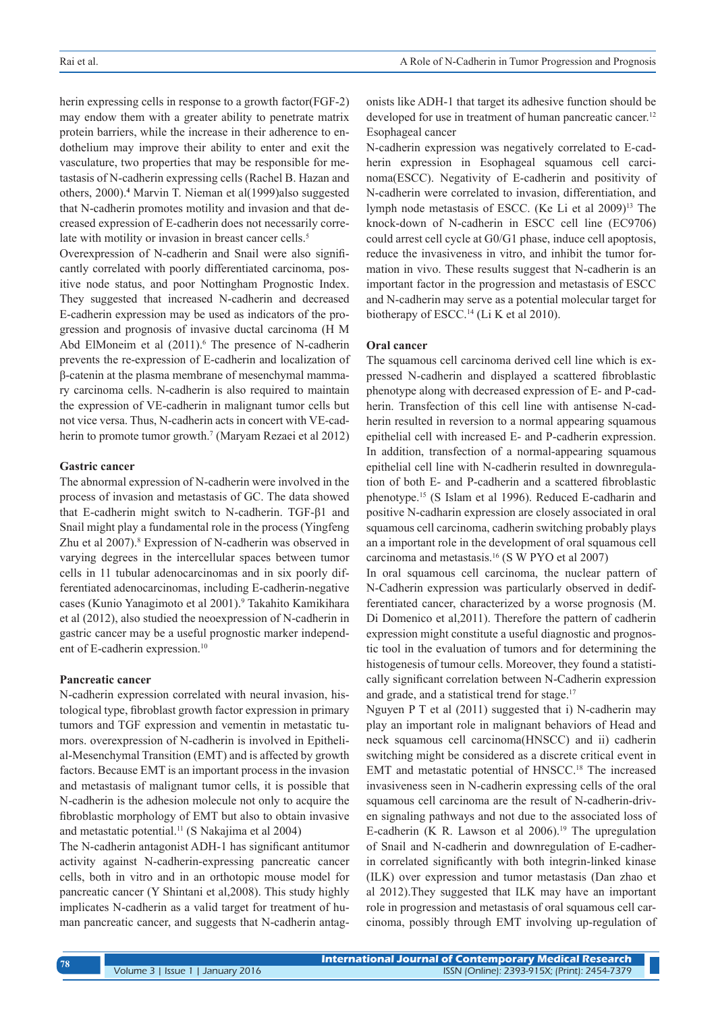herin expressing cells in response to a growth factor(FGF-2) may endow them with a greater ability to penetrate matrix protein barriers, while the increase in their adherence to endothelium may improve their ability to enter and exit the vasculature, two properties that may be responsible for metastasis of N-cadherin expressing cells (Rachel B. Hazan and others, 2000).**<sup>4</sup>** Marvin T. Nieman et al(1999)also suggested that N-cadherin promotes motility and invasion and that decreased expression of E-cadherin does not necessarily correlate with motility or invasion in breast cancer cells.<sup>5</sup>

Overexpression of N-cadherin and Snail were also significantly correlated with poorly differentiated carcinoma, positive node status, and poor Nottingham Prognostic Index. They suggested that increased N-cadherin and decreased E-cadherin expression may be used as indicators of the progression and prognosis of invasive ductal carcinoma (H M Abd ElMoneim et al  $(2011)$ .<sup>6</sup> The presence of N-cadherin prevents the re-expression of E-cadherin and localization of β-catenin at the plasma membrane of mesenchymal mammary carcinoma cells. N-cadherin is also required to maintain the expression of VE-cadherin in malignant tumor cells but not vice versa. Thus, N-cadherin acts in concert with VE-cadherin to promote tumor growth.<sup>7</sup> (Maryam Rezaei et al 2012)

## **Gastric cancer**

The abnormal expression of N-cadherin were involved in the process of invasion and metastasis of GC. The data showed that E-cadherin might switch to N-cadherin. TGF-β1 and Snail might play a fundamental role in the process (Yingfeng Zhu et al 2007).<sup>8</sup> Expression of N-cadherin was observed in varying degrees in the intercellular spaces between tumor cells in 11 tubular adenocarcinomas and in six poorly differentiated adenocarcinomas, including E-cadherin-negative cases (Kunio Yanagimoto et al 2001).<sup>9</sup> Takahito Kamikihara et al (2012), also studied the neoexpression of N-cadherin in gastric cancer may be a useful prognostic marker independent of E-cadherin expression.<sup>10</sup>

## **Pancreatic cancer**

N-cadherin expression correlated with neural invasion, histological type, fibroblast growth factor expression in primary tumors and TGF expression and vementin in metastatic tumors. overexpression of N-cadherin is involved in Epithelial-Mesenchymal Transition (EMT) and is affected by growth factors. Because EMT is an important process in the invasion and metastasis of malignant tumor cells, it is possible that N-cadherin is the adhesion molecule not only to acquire the fibroblastic morphology of EMT but also to obtain invasive and metastatic potential.11 (S Nakajima et al 2004)

The N-cadherin antagonist ADH-1 has significant antitumor activity against N-cadherin-expressing pancreatic cancer cells, both in vitro and in an orthotopic mouse model for pancreatic cancer (Y Shintani et al,2008). This study highly implicates N-cadherin as a valid target for treatment of human pancreatic cancer, and suggests that N-cadherin antagonists like ADH-1 that target its adhesive function should be developed for use in treatment of human pancreatic cancer.<sup>12</sup> Esophageal cancer

N-cadherin expression was negatively correlated to E-cadherin expression in Esophageal squamous cell carcinoma(ESCC). Negativity of E-cadherin and positivity of N-cadherin were correlated to invasion, differentiation, and lymph node metastasis of ESCC. (Ke Li et al 2009)13 The knock-down of N-cadherin in ESCC cell line (EC9706) could arrest cell cycle at G0/G1 phase, induce cell apoptosis, reduce the invasiveness in vitro, and inhibit the tumor formation in vivo. These results suggest that N-cadherin is an important factor in the progression and metastasis of ESCC and N-cadherin may serve as a potential molecular target for biotherapy of ESCC.<sup>14</sup> (Li K et al 2010).

### **Oral cancer**

The squamous cell carcinoma derived cell line which is expressed N-cadherin and displayed a scattered fibroblastic phenotype along with decreased expression of E- and P-cadherin. Transfection of this cell line with antisense N-cadherin resulted in reversion to a normal appearing squamous epithelial cell with increased E- and P-cadherin expression. In addition, transfection of a normal-appearing squamous epithelial cell line with N-cadherin resulted in downregulation of both E- and P-cadherin and a scattered fibroblastic phenotype.15 (S Islam et al 1996). Reduced E-cadharin and positive N-cadharin expression are closely associated in oral squamous cell carcinoma, cadherin switching probably plays an a important role in the development of oral squamous cell carcinoma and metastasis.16 (S W PYO et al 2007)

In oral squamous cell carcinoma, the nuclear pattern of N-Cadherin expression was particularly observed in dedifferentiated cancer, characterized by a worse prognosis (M. Di Domenico et al,2011). Therefore the pattern of cadherin expression might constitute a useful diagnostic and prognostic tool in the evaluation of tumors and for determining the histogenesis of tumour cells. Moreover, they found a statistically significant correlation between N-Cadherin expression and grade, and a statistical trend for stage.<sup>17</sup>

Nguyen P T et al (2011) suggested that i) N-cadherin may play an important role in malignant behaviors of Head and neck squamous cell carcinoma(HNSCC) and ii) cadherin switching might be considered as a discrete critical event in EMT and metastatic potential of HNSCC.<sup>18</sup> The increased invasiveness seen in N-cadherin expressing cells of the oral squamous cell carcinoma are the result of N-cadherin-driven signaling pathways and not due to the associated loss of E-cadherin (K R. Lawson et al  $2006$ ).<sup>19</sup> The upregulation of Snail and N-cadherin and downregulation of E-cadherin correlated significantly with both integrin-linked kinase (ILK) over expression and tumor metastasis (Dan zhao et al 2012).They suggested that ILK may have an important role in progression and metastasis of oral squamous cell carcinoma, possibly through EMT involving up-regulation of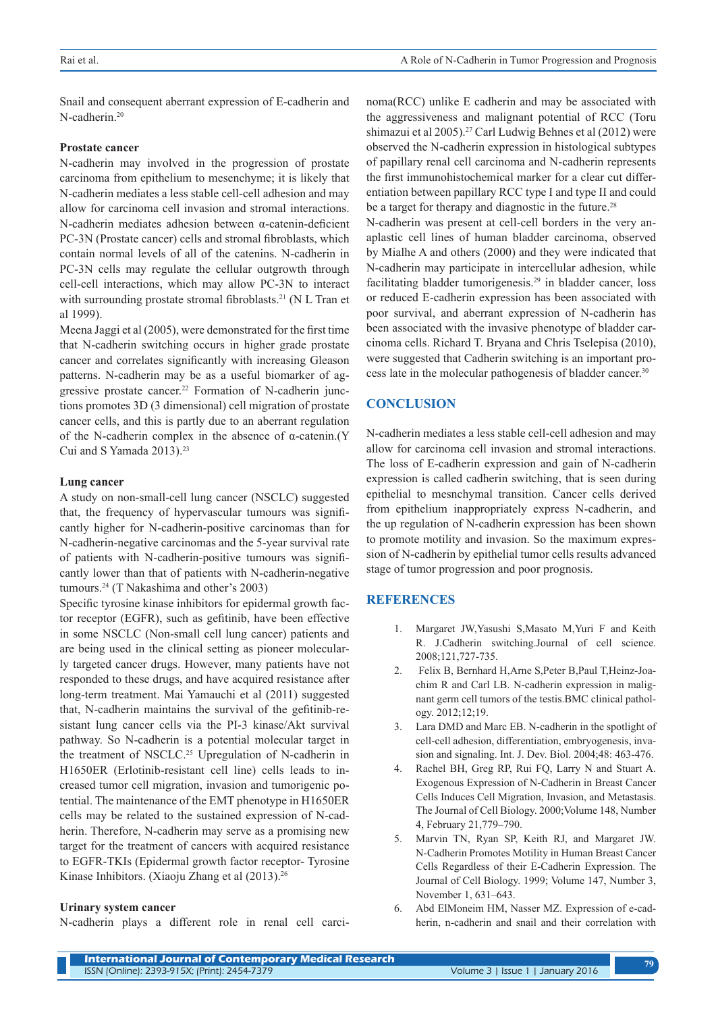Snail and consequent aberrant expression of E-cadherin and  $N$ -cadherin<sup>20</sup>

### **Prostate cancer**

N-cadherin may involved in the progression of prostate carcinoma from epithelium to mesenchyme; it is likely that N-cadherin mediates a less stable cell-cell adhesion and may allow for carcinoma cell invasion and stromal interactions. N-cadherin mediates adhesion between α-catenin-deficient PC-3N (Prostate cancer) cells and stromal fibroblasts, which contain normal levels of all of the catenins. N-cadherin in PC-3N cells may regulate the cellular outgrowth through cell-cell interactions, which may allow PC-3N to interact with surrounding prostate stromal fibroblasts.<sup>21</sup> (N L Tran et al 1999).

Meena Jaggi et al (2005), were demonstrated for the first time that N-cadherin switching occurs in higher grade prostate cancer and correlates significantly with increasing Gleason patterns. N-cadherin may be as a useful biomarker of aggressive prostate cancer.22 Formation of N-cadherin junctions promotes 3D (3 dimensional) cell migration of prostate cancer cells, and this is partly due to an aberrant regulation of the N-cadherin complex in the absence of α-catenin.(Y Cui and S Yamada 2013).<sup>23</sup>

## **Lung cancer**

A study on non-small-cell lung cancer (NSCLC) suggested that, the frequency of hypervascular tumours was significantly higher for N-cadherin-positive carcinomas than for N-cadherin-negative carcinomas and the 5-year survival rate of patients with N-cadherin-positive tumours was significantly lower than that of patients with N-cadherin-negative tumours.<sup>24</sup> (T Nakashima and other's 2003)

Specific tyrosine kinase inhibitors for epidermal growth factor receptor (EGFR), such as gefitinib, have been effective in some NSCLC (Non-small cell lung cancer) patients and are being used in the clinical setting as pioneer molecularly targeted cancer drugs. However, many patients have not responded to these drugs, and have acquired resistance after long-term treatment. Mai Yamauchi et al (2011) suggested that, N-cadherin maintains the survival of the gefitinib-resistant lung cancer cells via the PI-3 kinase/Akt survival pathway. So N-cadherin is a potential molecular target in the treatment of NSCLC.<sup>25</sup> Upregulation of N-cadherin in H1650ER (Erlotinib-resistant cell line) cells leads to increased tumor cell migration, invasion and tumorigenic potential. The maintenance of the EMT phenotype in H1650ER cells may be related to the sustained expression of N-cadherin. Therefore, N-cadherin may serve as a promising new target for the treatment of cancers with acquired resistance to EGFR-TKIs (Epidermal growth factor receptor- Tyrosine Kinase Inhibitors. (Xiaoju Zhang et al (2013).<sup>26</sup>

#### **Urinary system cancer**

N-cadherin plays a different role in renal cell carci-

noma(RCC) unlike E cadherin and may be associated with the aggressiveness and malignant potential of RCC (Toru shimazui et al 2005).27 Carl Ludwig Behnes et al (2012) were observed the N-cadherin expression in histological subtypes of papillary renal cell carcinoma and N-cadherin represents the first immunohistochemical marker for a clear cut differentiation between papillary RCC type I and type II and could be a target for therapy and diagnostic in the future.<sup>28</sup>

N-cadherin was present at cell-cell borders in the very anaplastic cell lines of human bladder carcinoma, observed by Mialhe A and others (2000) and they were indicated that N-cadherin may participate in intercellular adhesion, while facilitating bladder tumorigenesis.<sup>29</sup> in bladder cancer, loss or reduced E-cadherin expression has been associated with poor survival, and aberrant expression of N-cadherin has been associated with the invasive phenotype of bladder carcinoma cells. Richard T. Bryana and Chris Tselepisa (2010), were suggested that Cadherin switching is an important process late in the molecular pathogenesis of bladder cancer.30

# **CONCLUSION**

N-cadherin mediates a less stable cell-cell adhesion and may allow for carcinoma cell invasion and stromal interactions. The loss of E-cadherin expression and gain of N-cadherin expression is called cadherin switching, that is seen during epithelial to mesnchymal transition. Cancer cells derived from epithelium inappropriately express N-cadherin, and the up regulation of N-cadherin expression has been shown to promote motility and invasion. So the maximum expression of N-cadherin by epithelial tumor cells results advanced stage of tumor progression and poor prognosis.

# **REFERENCES**

- 1. Margaret JW,Yasushi S,Masato M,Yuri F and Keith R. J.Cadherin switching.Journal of cell science. 2008;121,727-735.
- 2. Felix B, Bernhard H,Arne S,Peter B,Paul T,Heinz-Joachim R and Carl LB. N-cadherin expression in malignant germ cell tumors of the testis.BMC clinical pathology. 2012;12;19.
- 3. Lara DMD and Marc EB. N-cadherin in the spotlight of cell-cell adhesion, differentiation, embryogenesis, invasion and signaling. Int. J. Dev. Biol. 2004;48: 463-476.
- 4. Rachel BH, Greg RP, Rui FQ, Larry N and Stuart A. Exogenous Expression of N-Cadherin in Breast Cancer Cells Induces Cell Migration, Invasion, and Metastasis. The Journal of Cell Biology. 2000;Volume 148, Number 4, February 21,779–790.
- 5. Marvin TN, Ryan SP, Keith RJ, and Margaret JW. N-Cadherin Promotes Motility in Human Breast Cancer Cells Regardless of their E-Cadherin Expression. The Journal of Cell Biology. 1999; Volume 147, Number 3, November 1, 631–643.
- 6. Abd ElMoneim HM, Nasser MZ. Expression of e-cadherin, n-cadherin and snail and their correlation with